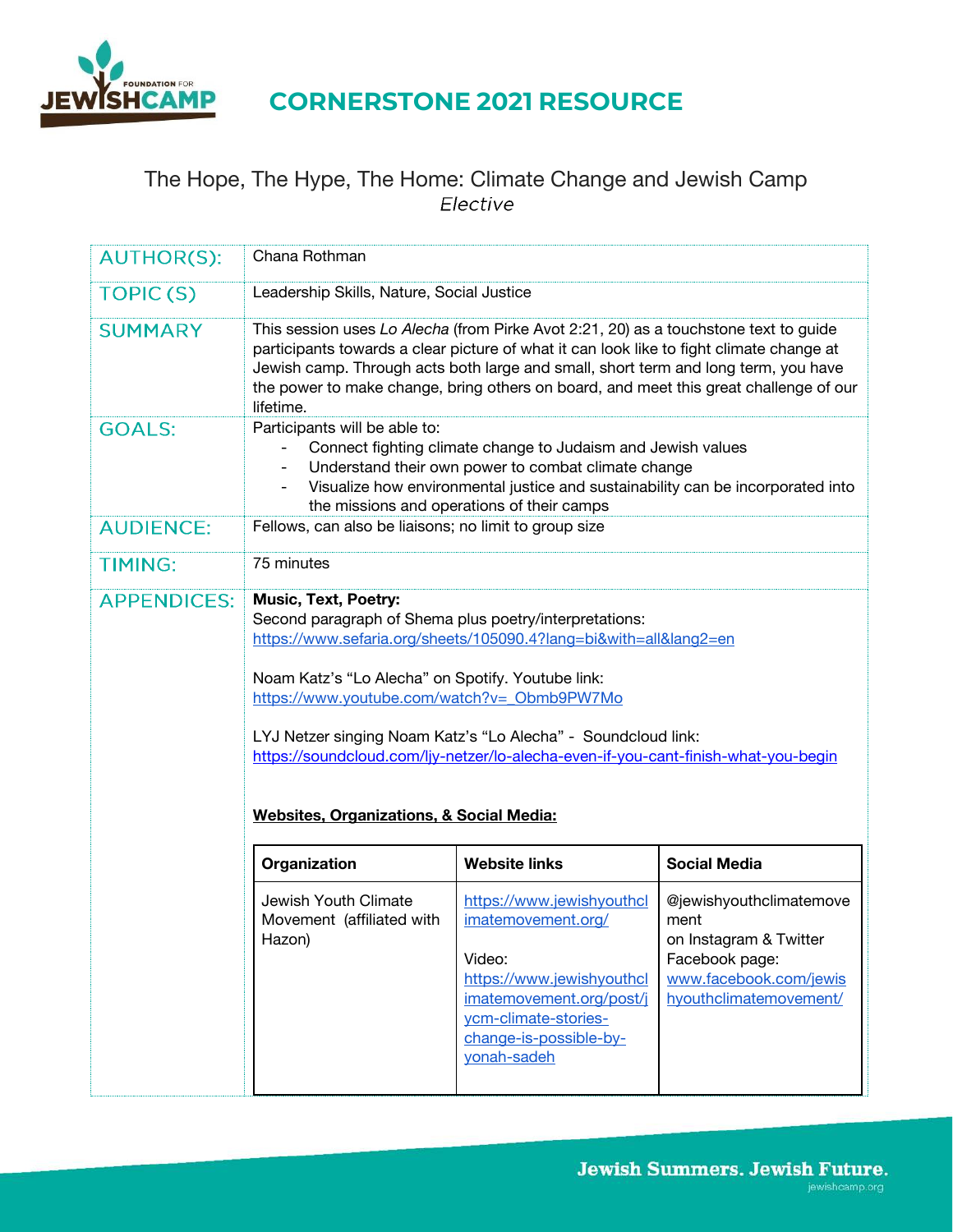

# The Hope, The Hype, The Home: Climate Change and Jewish Camp<br>Elective

| <b>AUTHOR(S):</b>  | Chana Rothman                                                                                                                                                                                                                                                                                                                                                                                                                                                                |                                                                                                                                                                                     |                                                                                                                                 |  |  |
|--------------------|------------------------------------------------------------------------------------------------------------------------------------------------------------------------------------------------------------------------------------------------------------------------------------------------------------------------------------------------------------------------------------------------------------------------------------------------------------------------------|-------------------------------------------------------------------------------------------------------------------------------------------------------------------------------------|---------------------------------------------------------------------------------------------------------------------------------|--|--|
| <b>TOPIC(S)</b>    | Leadership Skills, Nature, Social Justice                                                                                                                                                                                                                                                                                                                                                                                                                                    |                                                                                                                                                                                     |                                                                                                                                 |  |  |
| <b>SUMMARY</b>     | This session uses Lo Alecha (from Pirke Avot 2:21, 20) as a touchstone text to guide<br>participants towards a clear picture of what it can look like to fight climate change at<br>Jewish camp. Through acts both large and small, short term and long term, you have<br>the power to make change, bring others on board, and meet this great challenge of our<br>lifetime.                                                                                                 |                                                                                                                                                                                     |                                                                                                                                 |  |  |
| <b>GOALS:</b>      | Participants will be able to:<br>Connect fighting climate change to Judaism and Jewish values<br>Understand their own power to combat climate change<br>Visualize how environmental justice and sustainability can be incorporated into<br>the missions and operations of their camps                                                                                                                                                                                        |                                                                                                                                                                                     |                                                                                                                                 |  |  |
| <b>AUDIENCE:</b>   | Fellows, can also be liaisons; no limit to group size                                                                                                                                                                                                                                                                                                                                                                                                                        |                                                                                                                                                                                     |                                                                                                                                 |  |  |
| <b>TIMING:</b>     | 75 minutes                                                                                                                                                                                                                                                                                                                                                                                                                                                                   |                                                                                                                                                                                     |                                                                                                                                 |  |  |
| <b>APPENDICES:</b> | <b>Music, Text, Poetry:</b><br>Second paragraph of Shema plus poetry/interpretations:<br>https://www.sefaria.org/sheets/105090.4?lang=bi&with=all&lang2=en<br>Noam Katz's "Lo Alecha" on Spotify. Youtube link:<br>https://www.youtube.com/watch?v= Obmb9PW7Mo<br>LYJ Netzer singing Noam Katz's "Lo Alecha" - Soundcloud link:<br>https://soundcloud.com/ljy-netzer/lo-alecha-even-if-you-cant-finish-what-you-begin<br><b>Websites, Organizations, &amp; Social Media:</b> |                                                                                                                                                                                     |                                                                                                                                 |  |  |
|                    | Organization                                                                                                                                                                                                                                                                                                                                                                                                                                                                 | <b>Website links</b>                                                                                                                                                                | <b>Social Media</b>                                                                                                             |  |  |
|                    | Jewish Youth Climate<br>Movement (affiliated with<br>Hazon)                                                                                                                                                                                                                                                                                                                                                                                                                  | https://www.jewishyouthcl<br>imatemovement.org/<br>Video:<br>https://www.jewishyouthcl<br>imatemovement.org/post/j<br>ycm-climate-stories-<br>change-is-possible-by-<br>yonah-sadeh | @jewishyouthclimatemove<br>ment<br>on Instagram & Twitter<br>Facebook page:<br>www.facebook.com/jewis<br>hyouthclimatemovement/ |  |  |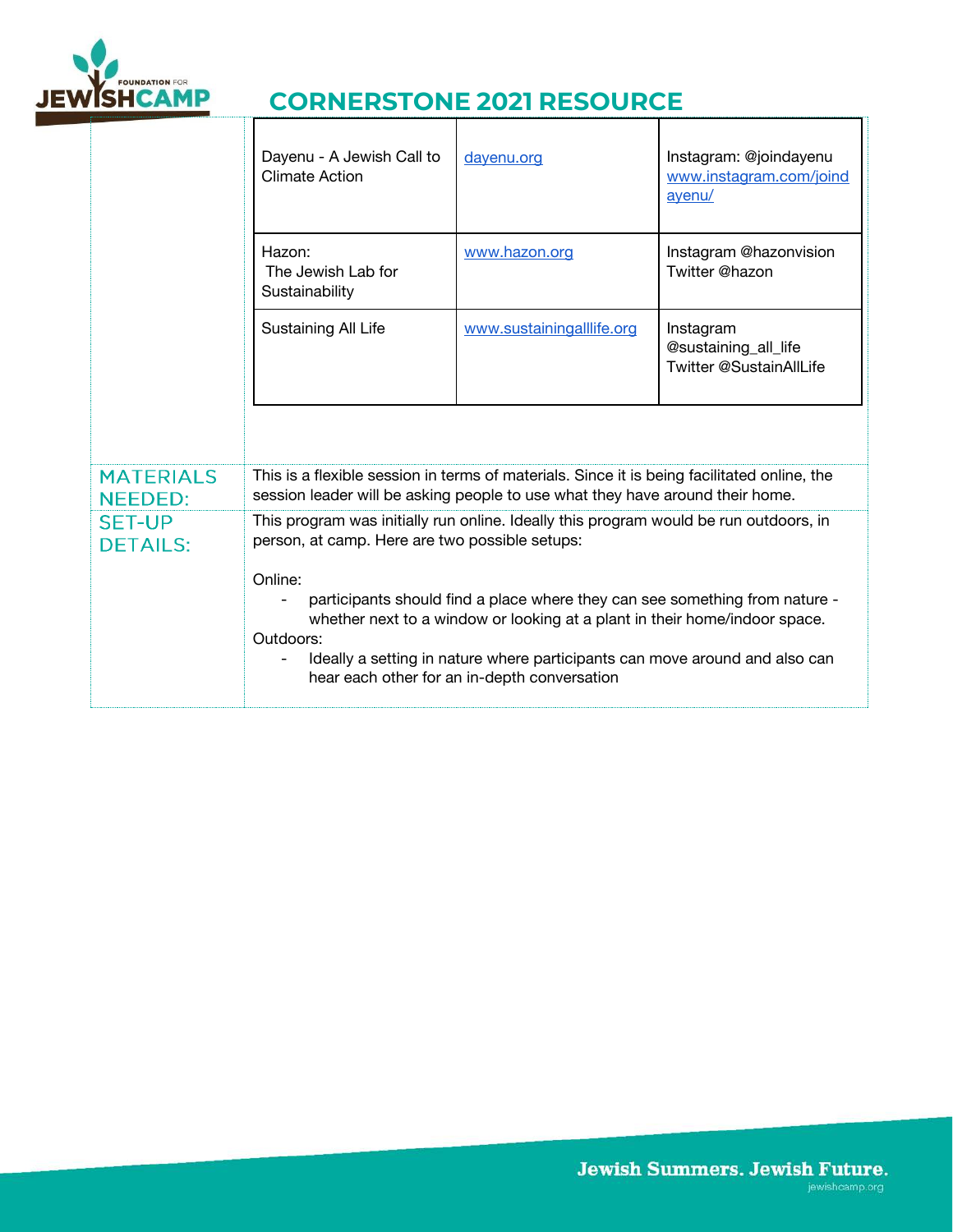

 $\mathbb{T}^{\mathsf{T}}$ 

## **CORNERSTONE 2021 RESOURCE** Т

|                                    | Dayenu - A Jewish Call to<br><b>Climate Action</b>                                                                                                                                                                                                                                                               | dayenu.org                | Instagram: @joindayenu<br>www.instagram.com/joind<br>ayenu/  |  |
|------------------------------------|------------------------------------------------------------------------------------------------------------------------------------------------------------------------------------------------------------------------------------------------------------------------------------------------------------------|---------------------------|--------------------------------------------------------------|--|
|                                    | Hazon:<br>The Jewish Lab for<br>Sustainability                                                                                                                                                                                                                                                                   | www.hazon.org             | Instagram @hazonvision<br>Twitter @hazon                     |  |
|                                    | Sustaining All Life                                                                                                                                                                                                                                                                                              | www.sustainingalllife.org | Instagram<br>@sustaining_all_life<br>Twitter @SustainAllLife |  |
|                                    |                                                                                                                                                                                                                                                                                                                  |                           |                                                              |  |
| <b>MATERIALS</b><br><b>NEEDED:</b> | This is a flexible session in terms of materials. Since it is being facilitated online, the<br>session leader will be asking people to use what they have around their home.                                                                                                                                     |                           |                                                              |  |
| <b>SET-UP</b><br><b>DETAILS:</b>   | This program was initially run online. Ideally this program would be run outdoors, in<br>person, at camp. Here are two possible setups:                                                                                                                                                                          |                           |                                                              |  |
|                                    | Online:<br>participants should find a place where they can see something from nature -<br>whether next to a window or looking at a plant in their home/indoor space.<br>Outdoors:<br>Ideally a setting in nature where participants can move around and also can<br>hear each other for an in-depth conversation |                           |                                                              |  |
|                                    |                                                                                                                                                                                                                                                                                                                  |                           |                                                              |  |

ד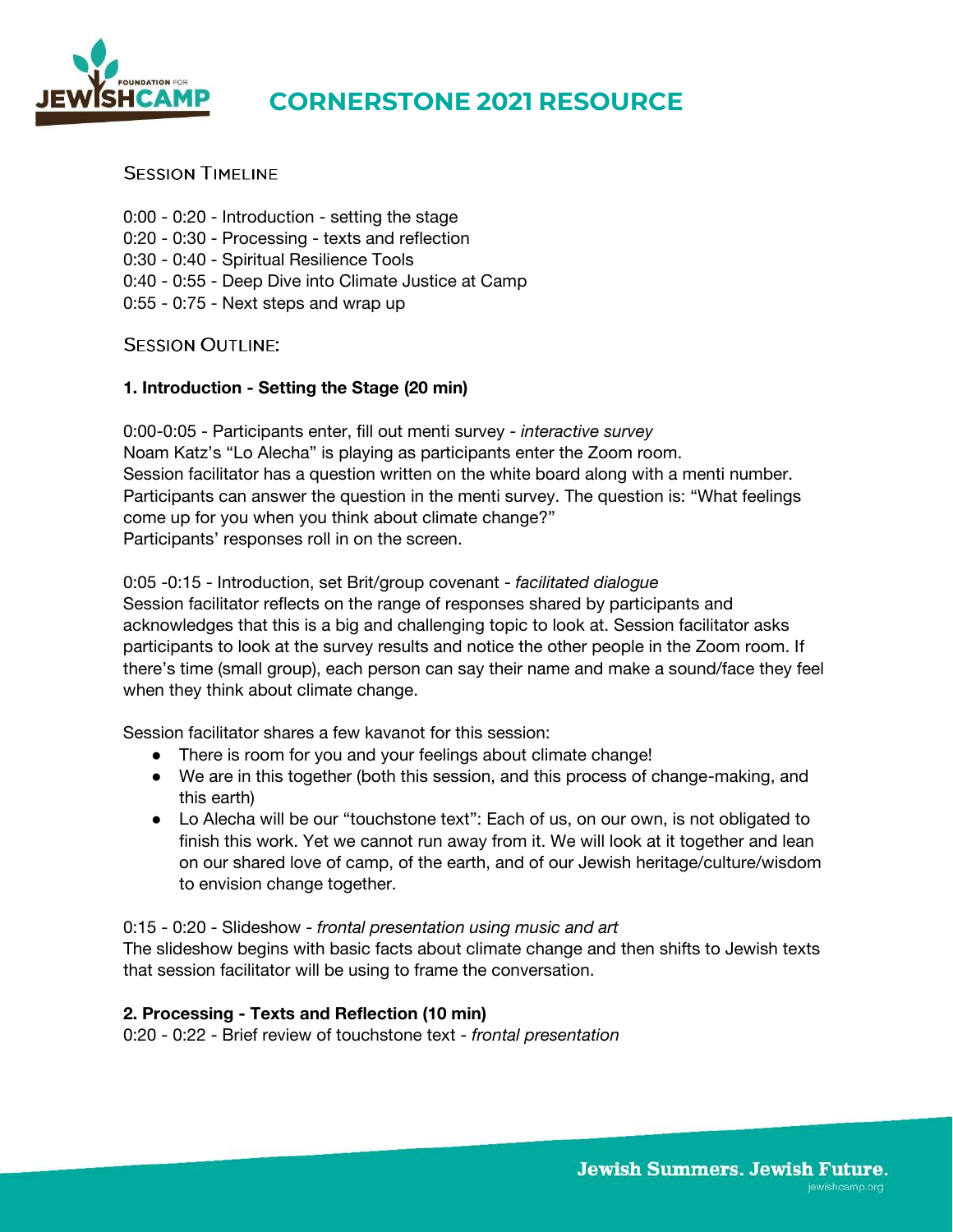

## **SESSION TIMELINE**

- 0:00 0:20 Introduction setting the stage 0:20 - 0:30 - Processing - texts and reflection
- 0:30 0:40 Spiritual Resilience Tools
- 0:40 0:55 Deep Dive into Climate Justice at Camp
- 0:55 0:75 Next steps and wrap up

#### **SESSION OUTLINE:**

#### **1. Introduction - Setting the Stage (20 min)**

0:00-0:05 - Participants enter, fill out menti survey - *interactive survey*  Noam Katz's "Lo Alecha" is playing as participants enter the Zoom room. Session facilitator has a question written on the white board along with a menti number. Participants can answer the question in the menti survey. The question is: "What feelings come up for you when you think about climate change?" Participants' responses roll in on the screen.

#### 0:05 -0:15 - Introduction, set Brit/group covenant - *facilitated dialogue*

Session facilitator reflects on the range of responses shared by participants and acknowledges that this is a big and challenging topic to look at. Session facilitator asks participants to look at the survey results and notice the other people in the Zoom room. If there's time (small group), each person can say their name and make a sound/face they feel when they think about climate change.

Session facilitator shares a few kavanot for this session:

- There is room for you and your feelings about climate change!
- We are in this together (both this session, and this process of change-making, and this earth)
- Lo Alecha will be our "touchstone text": Each of us, on our own, is not obligated to finish this work. Yet we cannot run away from it. We will look at it together and lean on our shared love of camp, of the earth, and of our Jewish heritage/culture/wisdom to envision change together.

#### 0:15 - 0:20 - Slideshow - *frontal presentation using music and art*

The slideshow begins with basic facts about climate change and then shifts to Jewish texts that session facilitator will be using to frame the conversation.

#### **2. Processing - Texts and Reflection (10 min)**

0:20 - 0:22 - Brief review of touchstone text - *frontal presentation*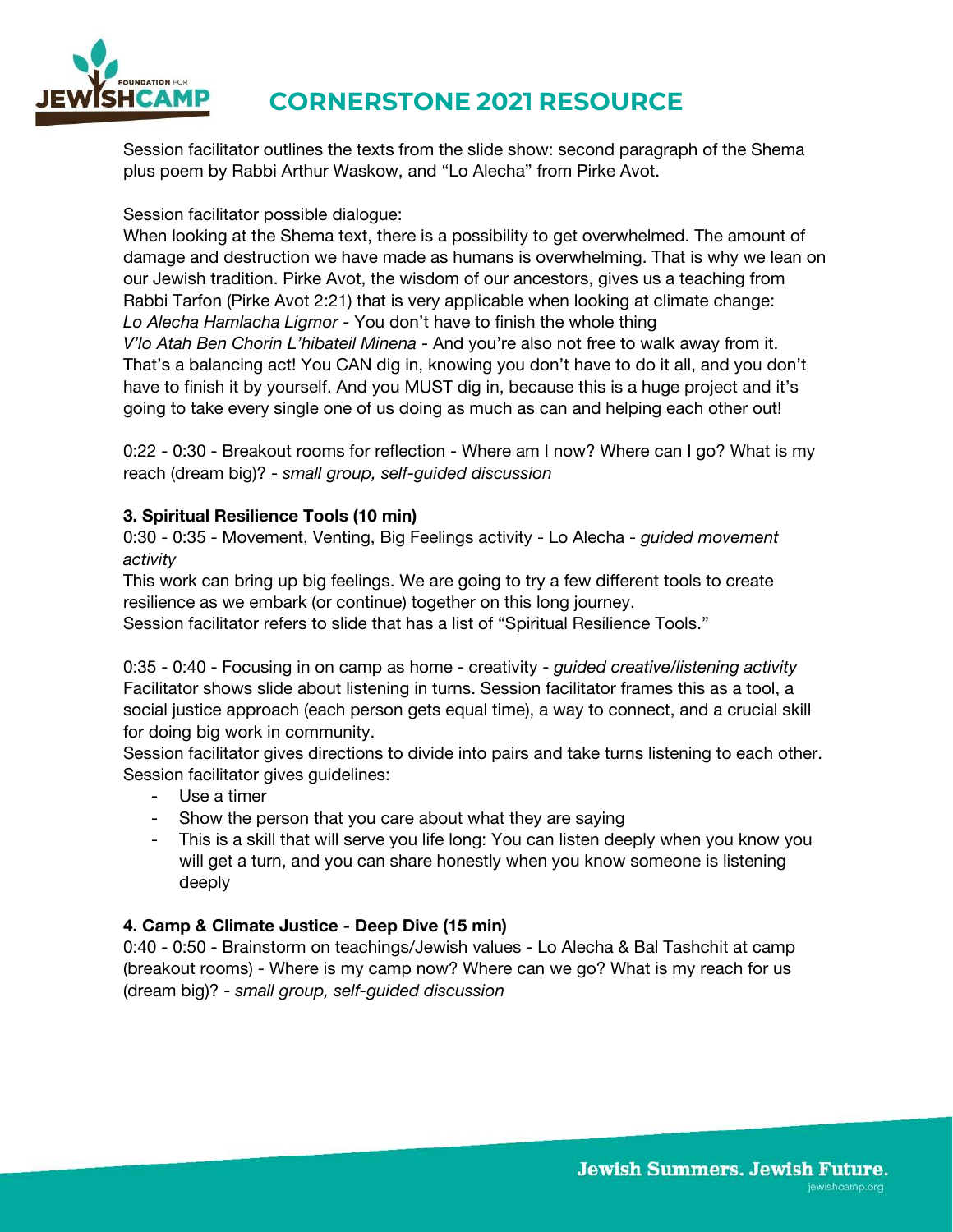

Session facilitator outlines the texts from the slide show: second paragraph of the Shema plus poem by Rabbi Arthur Waskow, and "Lo Alecha" from Pirke Avot.

Session facilitator possible dialogue:

When looking at the Shema text, there is a possibility to get overwhelmed. The amount of damage and destruction we have made as humans is overwhelming. That is why we lean on our Jewish tradition. Pirke Avot, the wisdom of our ancestors, gives us a teaching from Rabbi Tarfon (Pirke Avot 2:21) that is very applicable when looking at climate change: *Lo Alecha Hamlacha Ligmor* - You don't have to finish the whole thing *V'lo Atah Ben Chorin L'hibateil Minena* - And you're also not free to walk away from it. That's a balancing act! You CAN dig in, knowing you don't have to do it all, and you don't have to finish it by yourself. And you MUST dig in, because this is a huge project and it's going to take every single one of us doing as much as can and helping each other out!

0:22 - 0:30 - Breakout rooms for reflection - Where am I now? Where can I go? What is my reach (dream big)? - *small group, self-guided discussion* 

## **3. Spiritual Resilience Tools (10 min)**

0:30 - 0:35 - Movement, Venting, Big Feelings activity - Lo Alecha - *guided movement activity*

This work can bring up big feelings. We are going to try a few different tools to create resilience as we embark (or continue) together on this long journey.

Session facilitator refers to slide that has a list of "Spiritual Resilience Tools."

0:35 - 0:40 - Focusing in on camp as home - creativity - *guided creative/listening activity*  Facilitator shows slide about listening in turns. Session facilitator frames this as a tool, a social justice approach (each person gets equal time), a way to connect, and a crucial skill for doing big work in community.

Session facilitator gives directions to divide into pairs and take turns listening to each other. Session facilitator gives guidelines:

- Use a timer
- Show the person that you care about what they are saying
- This is a skill that will serve you life long: You can listen deeply when you know you will get a turn, and you can share honestly when you know someone is listening deeply

#### **4. Camp & Climate Justice - Deep Dive (15 min)**

0:40 - 0:50 - Brainstorm on teachings/Jewish values - Lo Alecha & Bal Tashchit at camp (breakout rooms) - Where is my camp now? Where can we go? What is my reach for us (dream big)? - *small group, self-guided discussion*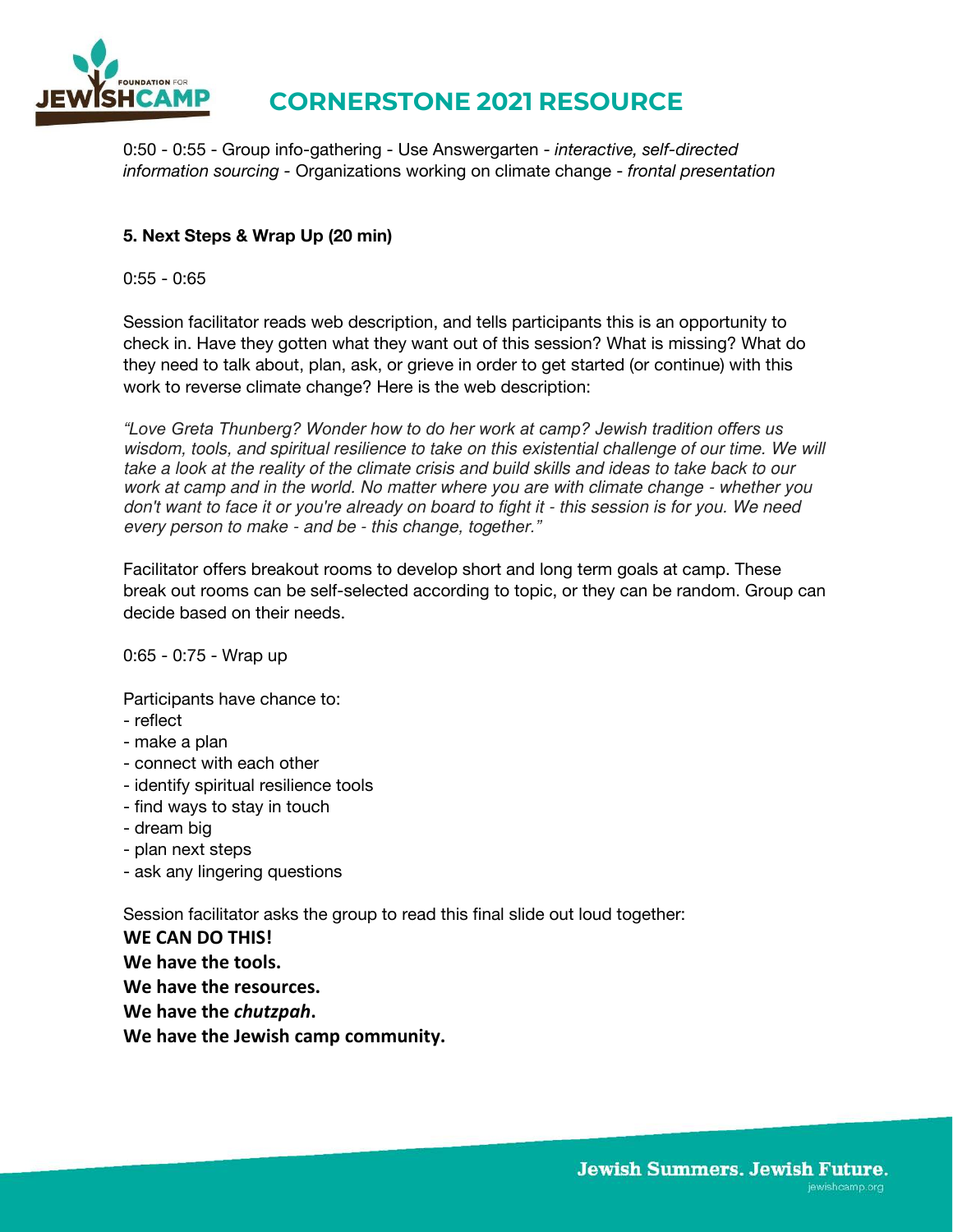

0:50 - 0:55 - Group info-gathering - Use Answergarten - *interactive, self-directed information sourcing -* Organizations working on climate change - *frontal presentation* 

## **5. Next Steps & Wrap Up (20 min)**

#### $0:55 - 0:65$

Session facilitator reads web description, and tells participants this is an opportunity to check in. Have they gotten what they want out of this session? What is missing? What do they need to talk about, plan, ask, or grieve in order to get started (or continue) with this work to reverse climate change? Here is the web description:

*"Love Greta Thunberg? Wonder how to do her work at camp? Jewish tradition offers us*  wisdom, tools, and spiritual resilience to take on this existential challenge of our time. We will take a look at the reality of the climate crisis and build skills and ideas to take back to our work at camp and in the world. No matter where you are with climate change - whether you don't want to face it or you're already on board to fight it - this session is for you. We need every person to make - and be - this change, tog*ether."*

Facilitator offers breakout rooms to develop short and long term goals at camp. These break out rooms can be self-selected according to topic, or they can be random. Group can decide based on their needs.

0:65 - 0:75 - Wrap up

Participants have chance to:

- reflect
- make a plan
- connect with each other
- identify spiritual resilience tools
- find ways to stay in touch
- dream big
- plan next steps
- ask any lingering questions

Session facilitator asks the group to read this final slide out loud together:

**WE CAN DO THIS! We have the tools. We have the resources. We have the** *chutzpah***. We have the Jewish camp community.**